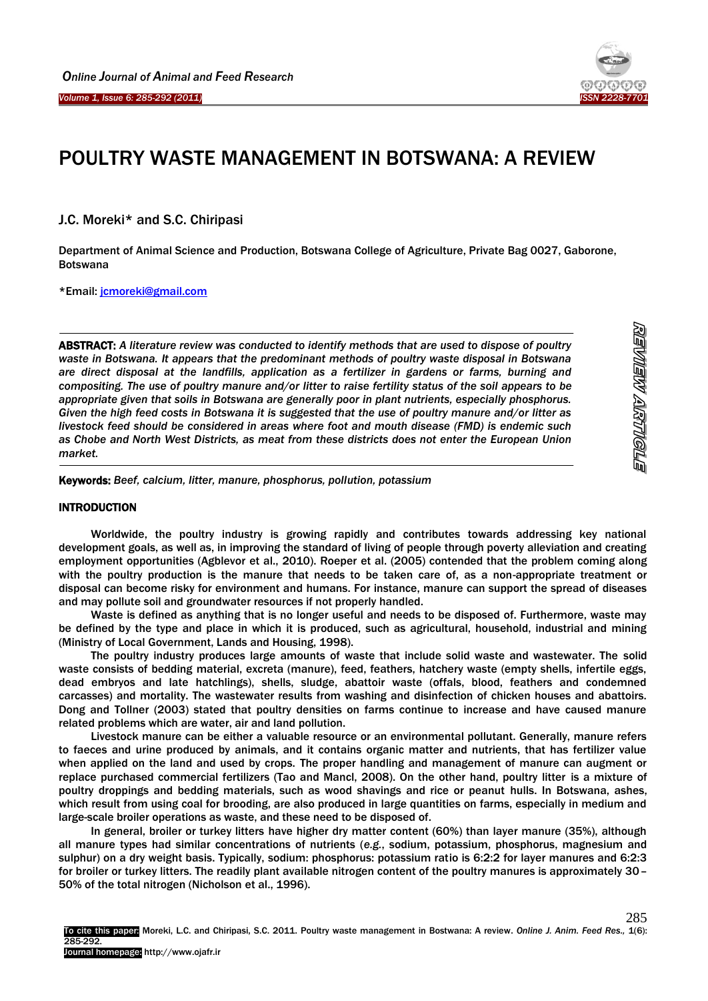

# POULTRY WASTE MANAGEMENT IN BOTSWANA: A REVIEW

## J.C. Moreki\* and S.C. Chiripasi

Department of Animal Science and Production, Botswana College of Agriculture, Private Bag 0027, Gaborone, Botswana

\*Email: [jcmoreki@gmail.com](mailto:jcmoreki@gmail.com)

 $\overline{a}$ 

Ī

ABSTRACT: *A literature review was conducted to identify methods that are used to dispose of poultry waste in Botswana. It appears that the predominant methods of poultry waste disposal in Botswana are direct disposal at the landfills, application as a fertilizer in gardens or farms, burning and compositing. The use of poultry manure and/or litter to raise fertility status of the soil appears to be appropriate given that soils in Botswana are generally poor in plant nutrients, especially phosphorus. Given the high feed costs in Botswana it is suggested that the use of poultry manure and/or litter as livestock feed should be considered in areas where foot and mouth disease (FMD) is endemic such as Chobe and North West Districts, as meat from these districts does not enter the European Union market.*

Keywords: *Beef, calcium, litter, manure, phosphorus, pollution, potassium*

## **INTRODUCTION**

1

Worldwide, the poultry industry is growing rapidly and contributes towards addressing key national development goals, as well as, in improving the standard of living of people through poverty alleviation and creating employment opportunities (Agblevor et al., 2010). Roeper et al. (2005) contended that the problem coming along with the poultry production is the manure that needs to be taken care of, as a non-appropriate treatment or disposal can become risky for environment and humans. For instance, manure can support the spread of diseases and may pollute soil and groundwater resources if not properly handled.

Waste is defined as anything that is no longer useful and needs to be disposed of. Furthermore, waste may be defined by the type and place in which it is produced, such as agricultural, household, industrial and mining (Ministry of Local Government, Lands and Housing, 1998).

The poultry industry produces large amounts of waste that include solid waste and wastewater. The solid waste consists of bedding material, excreta (manure), feed, feathers, hatchery waste (empty shells, infertile eggs, dead embryos and late hatchlings), shells, sludge, abattoir waste (offals, blood, feathers and condemned carcasses) and mortality. The wastewater results from washing and disinfection of chicken houses and abattoirs. Dong and Tollner (2003) stated that poultry densities on farms continue to increase and have caused manure related problems which are water, air and land pollution.

Livestock manure can be either a valuable resource or an environmental pollutant. Generally, manure refers to faeces and urine produced by animals, and it contains organic matter and nutrients, that has fertilizer value when applied on the land and used by crops. The proper handling and management of manure can augment or replace purchased commercial fertilizers (Tao and Mancl, 2008). On the other hand, poultry litter is a mixture of poultry droppings and bedding materials, such as wood shavings and rice or peanut hulls. In Botswana, ashes, which result from using coal for brooding, are also produced in large quantities on farms, especially in medium and large-scale broiler operations as waste, and these need to be disposed of.

In general, broiler or turkey litters have higher dry matter content (60%) than layer manure (35%), although all manure types had similar concentrations of nutrients (*e.g.*, sodium, potassium, phosphorus, magnesium and sulphur) on a dry weight basis. Typically, sodium: phosphorus: potassium ratio is 6:2:2 for layer manures and 6:2:3 for broiler or turkey litters. The readily plant available nitrogen content of the poultry manures is approximately 30– 50% of the total nitrogen (Nicholson et al., 1996).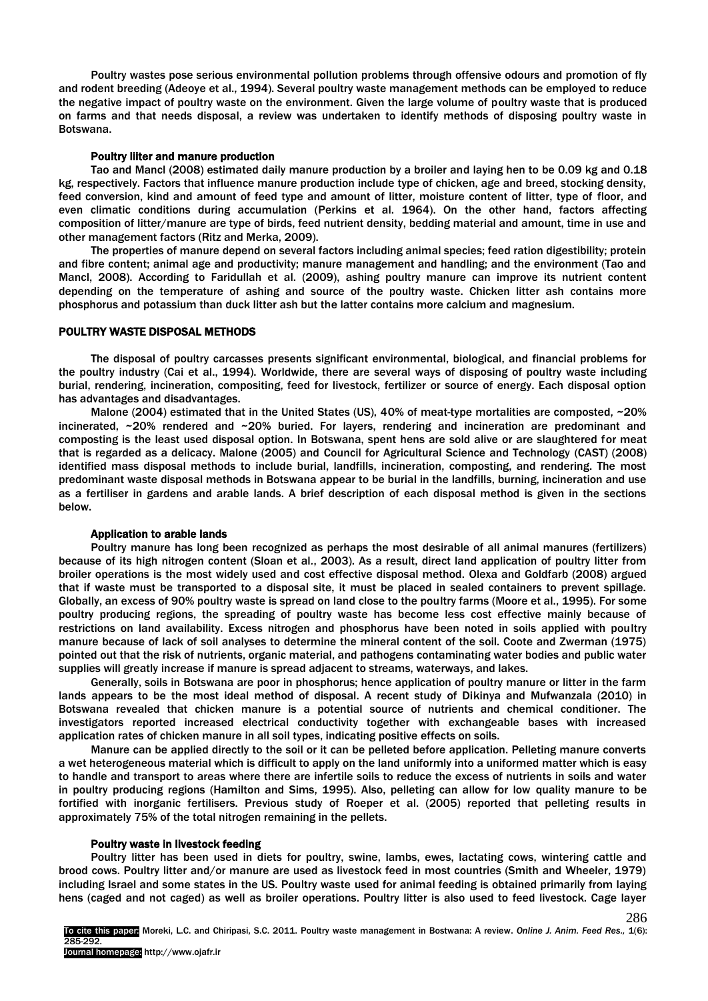Poultry wastes pose serious environmental pollution problems through offensive odours and promotion of fly and rodent breeding (Adeoye et al., 1994). Several poultry waste management methods can be employed to reduce the negative impact of poultry waste on the environment. Given the large volume of poultry waste that is produced on farms and that needs disposal, a review was undertaken to identify methods of disposing poultry waste in Botswana.

#### Poultry liiter and manure production

Tao and Mancl (2008) estimated daily manure production by a broiler and laying hen to be 0.09 kg and 0.18 kg, respectively. Factors that influence manure production include type of chicken, age and breed, stocking density, feed conversion, kind and amount of feed type and amount of litter, moisture content of litter, type of floor, and even climatic conditions during accumulation (Perkins et al. 1964). On the other hand, factors affecting composition of litter/manure are type of birds, feed nutrient density, bedding material and amount, time in use and other management factors (Ritz and Merka, 2009).

The properties of manure depend on several factors including animal species; feed ration digestibility; protein and fibre content; animal age and productivity; manure management and handling; and the environment (Tao and Mancl, 2008). According to Faridullah et al. (2009), ashing poultry manure can improve its nutrient content depending on the temperature of ashing and source of the poultry waste. Chicken litter ash contains more phosphorus and potassium than duck litter ash but the latter contains more calcium and magnesium.

## POULTRY WASTE DISPOSAL METHODS

The disposal of poultry carcasses presents significant environmental, biological, and financial problems for the poultry industry (Cai et al., 1994). Worldwide, there are several ways of disposing of poultry waste including burial, rendering, incineration, compositing, feed for livestock, fertilizer or source of energy. Each disposal option has advantages and disadvantages.

Malone (2004) estimated that in the United States (US), 40% of meat-type mortalities are composted, ~20% incinerated, ~20% rendered and ~20% buried. For layers, rendering and incineration are predominant and composting is the least used disposal option. In Botswana, spent hens are sold alive or are slaughtered for meat that is regarded as a delicacy. Malone (2005) and Council for Agricultural Science and Technology (CAST) (2008) identified mass disposal methods to include burial, landfills, incineration, composting, and rendering. The most predominant waste disposal methods in Botswana appear to be burial in the landfills, burning, incineration and use as a fertiliser in gardens and arable lands. A brief description of each disposal method is given in the sections below.

#### Application to arable lands

Poultry manure has long been recognized as perhaps the most desirable of all animal manures (fertilizers) because of its high nitrogen content (Sloan et al*.*, 2003). As a result, direct land application of poultry litter from broiler operations is the most widely used and cost effective disposal method. Olexa and Goldfarb (2008) argued that if waste must be transported to a disposal site, it must be placed in sealed containers to prevent spillage. Globally, an excess of 90% poultry waste is spread on land close to the poultry farms (Moore et al., 1995). For some poultry producing regions, the spreading of poultry waste has become less cost effective mainly because of restrictions on land availability. Excess nitrogen and phosphorus have been noted in soils applied with poultry manure because of lack of soil analyses to determine the mineral content of the soil. Coote and Zwerman (1975) pointed out that the risk of nutrients, organic material, and pathogens contaminating water bodies and public water supplies will greatly increase if manure is spread adjacent to streams, waterways, and lakes.

Generally, soils in Botswana are poor in phosphorus; hence application of poultry manure or litter in the farm lands appears to be the most ideal method of disposal. A recent study of Dikinya and Mufwanzala (2010) in Botswana revealed that chicken manure is a potential source of nutrients and chemical conditioner. The investigators reported increased electrical conductivity together with exchangeable bases with increased application rates of chicken manure in all soil types, indicating positive effects on soils.

Manure can be applied directly to the soil or it can be pelleted before application. Pelleting manure converts a wet heterogeneous material which is difficult to apply on the land uniformly into a uniformed matter which is easy to handle and transport to areas where there are infertile soils to reduce the excess of nutrients in soils and water in poultry producing regions (Hamilton and Sims, 1995). Also, pelleting can allow for low quality manure to be fortified with inorganic fertilisers. Previous study of Roeper et al. (2005) reported that pelleting results in approximately 75% of the total nitrogen remaining in the pellets.

#### Poultry waste in livestock feeding

Poultry litter has been used in diets for poultry, swine, lambs, ewes, lactating cows, wintering cattle and brood cows. Poultry litter and/or manure are used as livestock feed in most countries (Smith and Wheeler, 1979) including Israel and some states in the US. Poultry waste used for animal feeding is obtained primarily from laying hens (caged and not caged) as well as broiler operations. Poultry litter is also used to feed livestock. Cage layer

286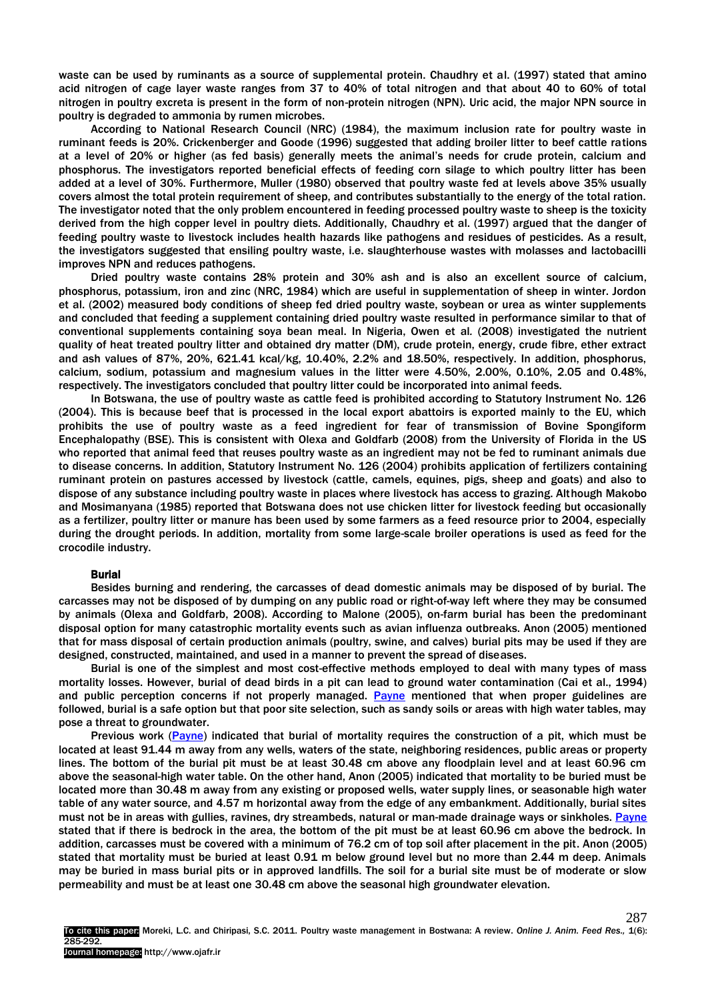waste can be used by ruminants as a source of supplemental protein. Chaudhry et al. (1997) stated that amino acid nitrogen of cage layer waste ranges from 37 to 40% of total nitrogen and that about 40 to 60% of total nitrogen in poultry excreta is present in the form of non-protein nitrogen (NPN). Uric acid, the major NPN source in poultry is degraded to ammonia by rumen microbes.

According to National Research Council (NRC) (1984), the maximum inclusion rate for poultry waste in ruminant feeds is 20%. Crickenberger and Goode (1996) suggested that adding broiler litter to beef cattle rations at a level of 20% or higher (as fed basis) generally meets the animal's needs for crude protein, calcium and phosphorus. The investigators reported beneficial effects of feeding corn silage to which poultry litter has been added at a level of 30%. Furthermore, Muller (1980) observed that poultry waste fed at levels above 35% usually covers almost the total protein requirement of sheep, and contributes substantially to the energy of the total ration. The investigator noted that the only problem encountered in feeding processed poultry waste to sheep is the toxicity derived from the high copper level in poultry diets. Additionally, Chaudhry et al. (1997) argued that the danger of feeding poultry waste to livestock includes health hazards like pathogens and residues of pesticides. As a result, the investigators suggested that ensiling poultry waste, i.e. slaughterhouse wastes with molasses and lactobacilli improves NPN and reduces pathogens.

Dried poultry waste contains 28% protein and 30% ash and is also an excellent source of calcium, phosphorus, potassium, iron and zinc (NRC, 1984) which are useful in supplementation of sheep in winter. Jordon et al. (2002) measured body conditions of sheep fed dried poultry waste, soybean or urea as winter supplements and concluded that feeding a supplement containing dried poultry waste resulted in performance similar to that of conventional supplements containing soya bean meal. In Nigeria, Owen et al*.* (2008) investigated the nutrient quality of heat treated poultry litter and obtained dry matter (DM), crude protein, energy, crude fibre, ether extract and ash values of 87%, 20%, 621.41 kcal/kg, 10.40%, 2.2% and 18.50%, respectively. In addition, phosphorus, calcium, sodium, potassium and magnesium values in the litter were 4.50%, 2.00%, 0.10%, 2.05 and 0.48%, respectively. The investigators concluded that poultry litter could be incorporated into animal feeds.

In Botswana, the use of poultry waste as cattle feed is prohibited according to Statutory Instrument No. 126 (2004). This is because beef that is processed in the local export abattoirs is exported mainly to the EU, which prohibits the use of poultry waste as a feed ingredient for fear of transmission of Bovine Spongiform Encephalopathy (BSE). This is consistent with Olexa and Goldfarb (2008) from the University of Florida in the US who reported that animal feed that reuses poultry waste as an ingredient may not be fed to ruminant animals due to disease concerns. In addition, Statutory Instrument No. 126 (2004) prohibits application of fertilizers containing ruminant protein on pastures accessed by livestock (cattle, camels, equines, pigs, sheep and goats) and also to dispose of any substance including poultry waste in places where livestock has access to grazing. Although Makobo and Mosimanyana (1985) reported that Botswana does not use chicken litter for livestock feeding but occasionally as a fertilizer, poultry litter or manure has been used by some farmers as a feed resource prior to 2004, especially during the drought periods. In addition, mortality from some large-scale broiler operations is used as feed for the crocodile industry.

#### Burial

Besides burning and rendering, the carcasses of dead domestic animals may be disposed of by burial. The carcasses may not be disposed of by dumping on any public road or right-of-way left where they may be consumed by animals (Olexa and Goldfarb, 2008). According to Malone (2005), on-farm burial has been the predominant disposal option for many catastrophic mortality events such as avian influenza outbreaks. Anon (2005) mentioned that for mass disposal of certain production animals (poultry, swine, and calves) burial pits may be used if they are designed, constructed, maintained, and used in a manner to prevent the spread of diseases.

Burial is one of the simplest and most cost-effective methods employed to deal with many types of mass mortality losses. However, burial of dead birds in a pit can lead to ground water contamination (Cai et al., 1994) and public perception concerns if not properly managed. [Payne](http://osufacts.okstate.edu/) mentioned that when proper guidelines are followed, burial is a safe option but that poor site selection, such as sandy soils or areas with high water tables, may pose a threat to groundwater.

Previous work [\(Payne\)](http://osufacts.okstate.edu/) indicated that burial of mortality requires the construction of a pit, which must be located at least 91.44 m away from any wells, waters of the state, neighboring residences, public areas or property lines. The bottom of the burial pit must be at least 30.48 cm above any floodplain level and at least 60.96 cm above the seasonal-high water table. On the other hand, Anon (2005) indicated that mortality to be buried must be located more than 30.48 m away from any existing or proposed wells, water supply lines, or seasonable high water table of any water source, and 4.57 m horizontal away from the edge of any embankment. Additionally, burial sites must not be in areas with gullies, ravines, dry streambeds, natural or man-made drainage ways or sinkholes. [Payne](http://osufacts.okstate.edu/) stated that if there is bedrock in the area, the bottom of the pit must be at least 60.96 cm above the bedrock. In addition, carcasses must be covered with a minimum of 76.2 cm of top soil after placement in the pit. Anon (2005) stated that mortality must be buried at least 0.91 m below ground level but no more than 2.44 m deep. Animals may be buried in mass burial pits or in approved landfills. The soil for a burial site must be of moderate or slow permeability and must be at least one 30.48 cm above the seasonal high groundwater elevation.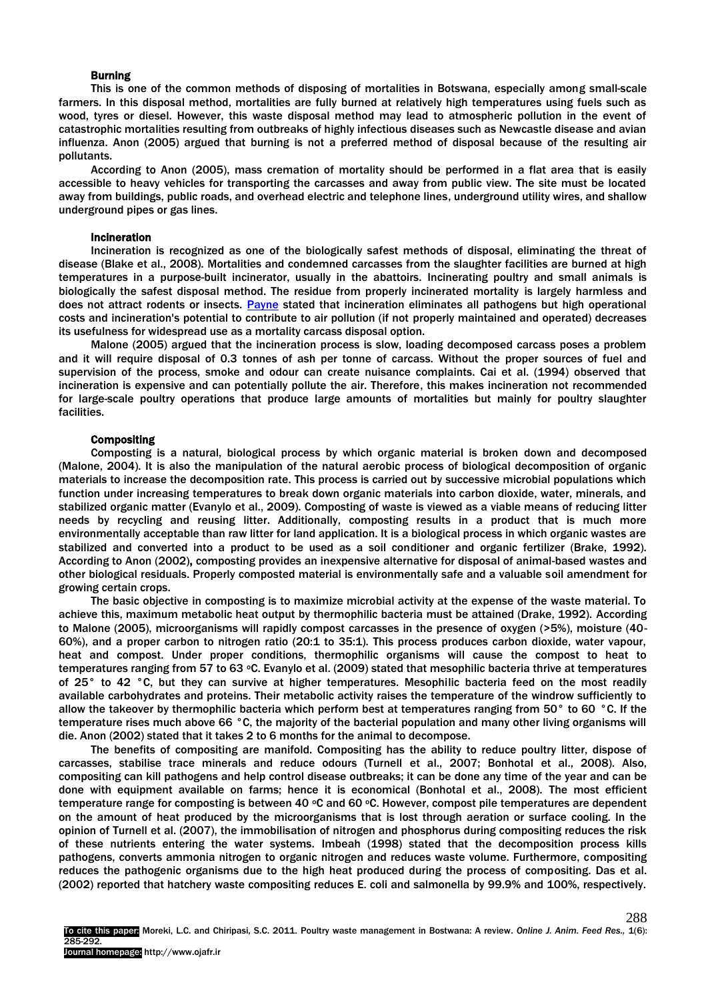#### Burning

This is one of the common methods of disposing of mortalities in Botswana, especially among small-scale farmers. In this disposal method, mortalities are fully burned at relatively high temperatures using fuels such as wood, tyres or diesel. However, this waste disposal method may lead to atmospheric pollution in the event of catastrophic mortalities resulting from outbreaks of highly infectious diseases such as Newcastle disease and avian influenza. Anon (2005) argued that burning is not a preferred method of disposal because of the resulting air pollutants.

According to Anon (2005), mass cremation of mortality should be performed in a flat area that is easily accessible to heavy vehicles for transporting the carcasses and away from public view. The site must be located away from buildings, public roads, and overhead electric and telephone lines, underground utility wires, and shallow underground pipes or gas lines.

#### Incineration

Incineration is recognized as one of the biologically safest methods of disposal, eliminating the threat of disease (Blake et al., 2008). Mortalities and condemned carcasses from the slaughter facilities are burned at high temperatures in a purpose-built incinerator, usually in the abattoirs. Incinerating poultry and small animals is biologically the safest disposal method. The residue from properly incinerated mortality is largely harmless and does not attract rodents or insects. [Payne](http://osufacts.okstate.edu/) stated that incineration eliminates all pathogens but high operational costs and incineration's potential to contribute to air pollution (if not properly maintained and operated) decreases its usefulness for widespread use as a mortality carcass disposal option.

Malone (2005) argued that the incineration process is slow, loading decomposed carcass poses a problem and it will require disposal of 0.3 tonnes of ash per tonne of carcass. Without the proper sources of fuel and supervision of the process, smoke and odour can create nuisance complaints. Cai et al. (1994) observed that incineration is expensive and can potentially pollute the air. Therefore, this makes incineration not recommended for large-scale poultry operations that produce large amounts of mortalities but mainly for poultry slaughter facilities.

### Compositing

Composting is a natural, biological process by which organic material is broken down and decomposed (Malone, 2004). It is also the manipulation of the natural aerobic process of biological decomposition of organic materials to increase the decomposition rate. This process is carried out by successive microbial populations which function under increasing temperatures to break down organic materials into carbon dioxide, water, minerals, and stabilized organic matter (Evanylo et al., 2009). Composting of waste is viewed as a viable means of reducing litter needs by recycling and reusing litter. Additionally, composting results in a product that is much more environmentally acceptable than raw litter for land application. It is a biological process in which organic wastes are stabilized and converted into a product to be used as a soil conditioner and organic fertilizer (Brake, 1992). According to Anon (2002), composting provides an inexpensive alternative for disposal of animal-based wastes and other biological residuals. Properly composted material is environmentally safe and a valuable soil amendment for growing certain crops.

The basic objective in composting is to maximize microbial activity at the expense of the waste material. To achieve this, maximum metabolic heat output by thermophilic bacteria must be attained (Drake, 1992). According to Malone (2005), microorganisms will rapidly compost carcasses in the presence of oxygen (>5%), moisture (40- 60%), and a proper carbon to nitrogen ratio (20:1 to 35:1). This process produces carbon dioxide, water vapour, heat and compost. Under proper conditions, thermophilic organisms will cause the compost to heat to temperatures ranging from 57 to 63 oC. Evanylo et al. (2009) stated that mesophilic bacteria thrive at temperatures of 25° to 42 °C, but they can survive at higher temperatures. Mesophilic bacteria feed on the most readily available carbohydrates and proteins. Their metabolic activity raises the temperature of the windrow sufficiently to allow the takeover by thermophilic bacteria which perform best at temperatures ranging from 50° to 60 °C. If the temperature rises much above 66 °C, the majority of the bacterial population and many other living organisms will die. Anon (2002) stated that it takes 2 to 6 months for the animal to decompose.

The benefits of compositing are manifold. Compositing has the ability to reduce poultry litter, dispose of carcasses, stabilise trace minerals and reduce odours (Turnell et al., 2007; Bonhotal et al., 2008). Also, compositing can kill pathogens and help control disease outbreaks; it can be done any time of the year and can be done with equipment available on farms; hence it is economical (Bonhotal et al., 2008). The most efficient temperature range for composting is between 40 °C and 60 °C. However, compost pile temperatures are dependent on the amount of heat produced by the microorganisms that is lost through aeration or surface cooling. In the opinion of Turnell et al. (2007), the immobilisation of nitrogen and phosphorus during compositing reduces the risk of these nutrients entering the water systems. Imbeah (1998) stated that the decomposition process kills pathogens, converts ammonia nitrogen to organic nitrogen and reduces waste volume. Furthermore, compositing reduces the pathogenic organisms due to the high heat produced during the process of compositing. Das et al. (2002) reported that hatchery waste compositing reduces E. coli and salmonella by 99.9% and 100%, respectively.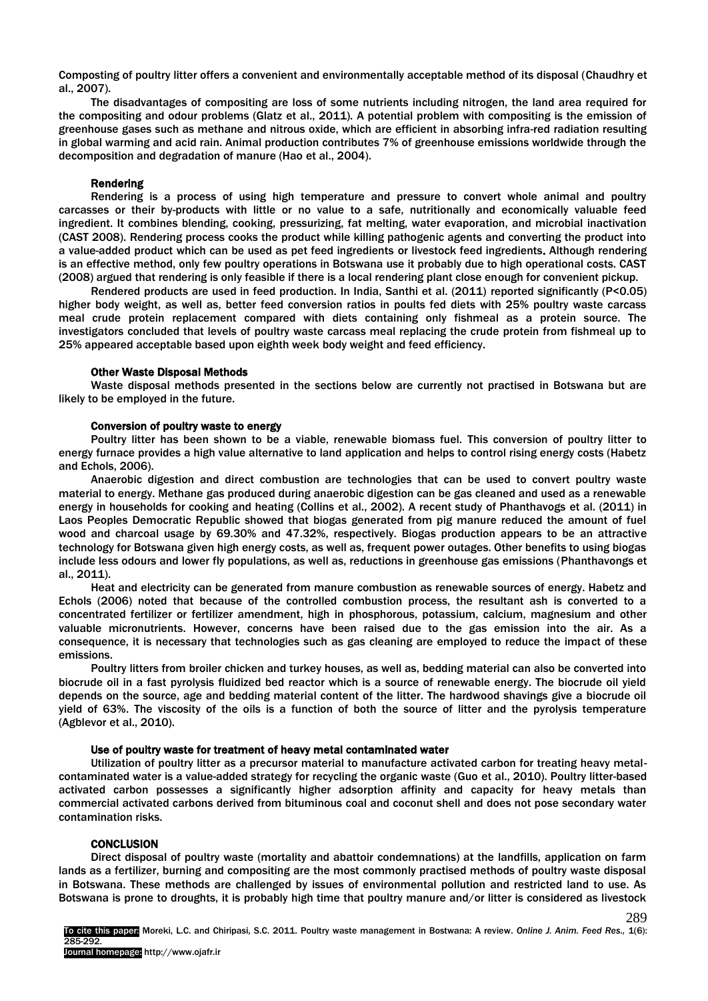Composting of poultry litter offers a convenient and environmentally acceptable method of its disposal (Chaudhry et al., 2007).

The disadvantages of compositing are loss of some nutrients including nitrogen, the land area required for the compositing and odour problems (Glatz et al., 2011). A potential problem with compositing is the emission of greenhouse gases such as methane and nitrous oxide, which are efficient in absorbing infra-red radiation resulting in global warming and acid rain. Animal production contributes 7% of greenhouse emissions worldwide through the decomposition and degradation of manure (Hao et al., 2004).

#### Rendering

Rendering is a process of using high temperature and pressure to convert whole animal and poultry carcasses or their by-products with little or no value to a safe, nutritionally and economically valuable feed ingredient. It combines blending, cooking, pressurizing, fat melting, water evaporation, and microbial inactivation (CAST 2008). Rendering process cooks the product while killing pathogenic agents and converting the product into a value-added product which can be used as pet feed ingredients or livestock feed ingredients. Although rendering is an effective method, only few poultry operations in Botswana use it probably due to high operational costs. CAST (2008) argued that rendering is only feasible if there is a local rendering plant close enough for convenient pickup.

Rendered products are used in feed production. In India, Santhi et al. (2011) reported significantly (P<0.05) higher body weight, as well as, better feed conversion ratios in poults fed diets with 25% poultry waste carcass meal crude protein replacement compared with diets containing only fishmeal as a protein source. The investigators concluded that levels of poultry waste carcass meal replacing the crude protein from fishmeal up to 25% appeared acceptable based upon eighth week body weight and feed efficiency.

#### Other Waste Disposal Methods

Waste disposal methods presented in the sections below are currently not practised in Botswana but are likely to be employed in the future.

#### Conversion of poultry waste to energy

Poultry litter has been shown to be a viable, renewable biomass fuel. This conversion of poultry litter to energy furnace provides a high value alternative to land application and helps to control rising energy costs (Habetz and Echols, 2006).

Anaerobic digestion and direct combustion are technologies that can be used to convert poultry waste material to energy. Methane gas produced during anaerobic digestion can be gas cleaned and used as a renewable energy in households for cooking and heating (Collins et al., 2002). A recent study of Phanthavogs et al. (2011) in Laos Peoples Democratic Republic showed that biogas generated from pig manure reduced the amount of fuel wood and charcoal usage by 69.30% and 47.32%, respectively. Biogas production appears to be an attractive technology for Botswana given high energy costs, as well as, frequent power outages. Other benefits to using biogas include less odours and lower fly populations, as well as, reductions in greenhouse gas emissions (Phanthavongs et al., 2011).

Heat and electricity can be generated from manure combustion as renewable sources of energy. Habetz and Echols (2006) noted that because of the controlled combustion process, the resultant ash is converted to a concentrated fertilizer or fertilizer amendment, high in phosphorous, potassium, calcium, magnesium and other valuable micronutrients. However, concerns have been raised due to the gas emission into the air. As a consequence, it is necessary that technologies such as gas cleaning are employed to reduce the impact of these emissions.

Poultry litters from broiler chicken and turkey houses, as well as, bedding material can also be converted into biocrude oil in a fast pyrolysis fluidized bed reactor which is a source of renewable energy. The biocrude oil yield depends on the source, age and bedding material content of the litter. The hardwood shavings give a biocrude oil yield of 63%. The viscosity of the oils is a function of both the source of litter and the pyrolysis temperature (Agblevor et al., 2010).

#### Use of poultry waste for treatment of heavy metal contaminated water

Utilization of poultry litter as a precursor material to manufacture activated carbon for treating heavy metalcontaminated water is a value-added strategy for recycling the organic waste (Guo et al., 2010). Poultry litter-based activated carbon possesses a significantly higher adsorption affinity and capacity for heavy metals than commercial activated carbons derived from bituminous coal and coconut shell and does not pose secondary water contamination risks.

#### **CONCLUSION**

Direct disposal of poultry waste (mortality and abattoir condemnations) at the landfills, application on farm lands as a fertilizer, burning and compositing are the most commonly practised methods of poultry waste disposal in Botswana. These methods are challenged by issues of environmental pollution and restricted land to use. As Botswana is prone to droughts, it is probably high time that poultry manure and/or litter is considered as livestock

289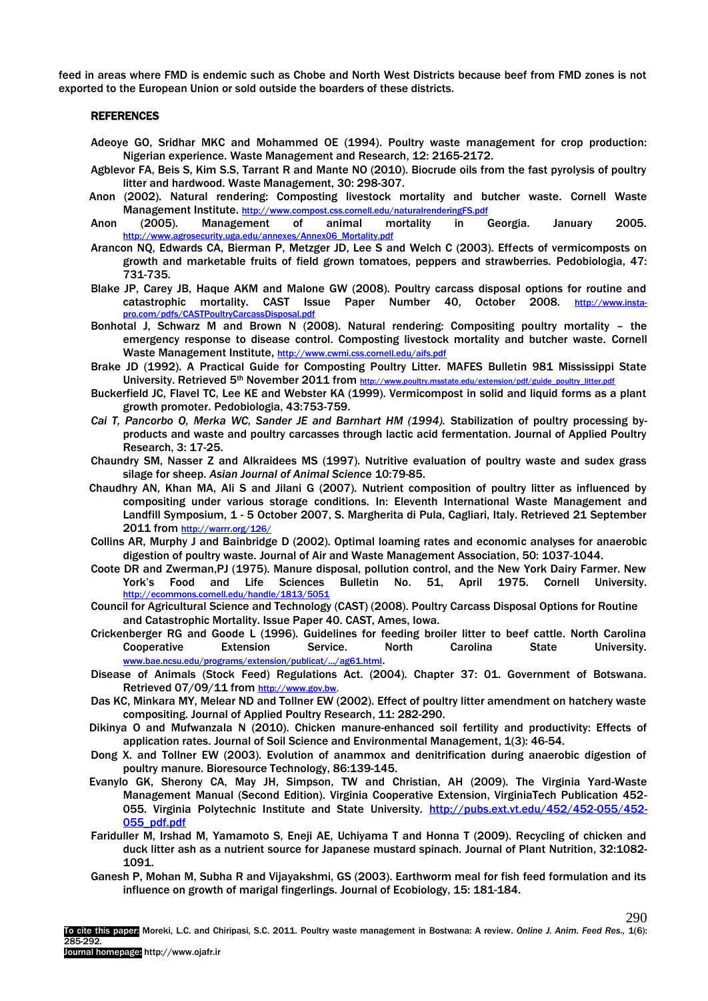feed in areas where FMD is endemic such as Chobe and North West Districts because beef from FMD zones is not exported to the European Union or sold outside the boarders of these districts.

#### REFERENCES

- Adeoye GO, Sridhar MKC and Mohammed OE (1994). Poultry waste management for crop production: Nigerian experience. Waste Management and Research, 12: 2165-2172.
- Agblevor FA, Beis S, Kim S.S, Tarrant R and Mante NO (2010). Biocrude oils from the fast pyrolysis of poultry litter and hardwood. Waste Management, 30: 298-307.
- Anon (2002). Natural rendering: Composting livestock mortality and butcher waste. Cornell Waste Management Institute. <http://www.compost.css.cornell.edu/naturalrenderingFS.pdf>
- Anon (2005). Management of animal mortality in Georgia. January 2005. [http://www.agrosecurity.uga.edu/annexes/Annex06\\_Mortality.pdf](http://www.agrosecurity.uga.edu/annexes/Annex06_Mortality.pdf)
- Arancon NQ, Edwards CA, Bierman P, Metzger JD, Lee S and Welch C (2003). Effects of vermicomposts on growth and marketable fruits of field grown tomatoes, peppers and strawberries. Pedobiologia, 47: 731-735.
- Blake JP, Carey JB, Haque AKM and Malone GW (2008). Poultry carcass disposal options for routine and catastrophic mortality. CAST Issue Paper Number 40, October 2008. [http://www.insta](http://www.insta-pro.com/pdfs/CASTPoultryCarcassDisposal.pdf)[pro.com/pdfs/CASTPoultryCarcassDisposal.pdf](http://www.insta-pro.com/pdfs/CASTPoultryCarcassDisposal.pdf)
- Bonhotal J, Schwarz M and Brown N (2008). Natural rendering: Compositing poultry mortality the emergency response to disease control. Composting livestock mortality and butcher waste. Cornell Waste Management Institute, <http://www.cwmi.css.cornell.edu/aifs.pdf>
- Brake JD (1992). A Practical Guide for Composting Poultry Litter. MAFES Bulletin 981 Mississippi State University. Retrieved 5<sup>th</sup> November 2011 from [http://www.poultry.msstate.edu/extension/pdf/guide\\_poultry\\_litter.pdf](http://www.poultry.msstate.edu/extension/pdf/guide_poultry_litter.pdf)
- Buckerfield JC, Flavel TC, Lee KE and Webster KA (1999). Vermicompost in solid and liquid forms as a plant growth promoter. Pedobiologia, 43:753-759.
- Cai T, Pancorbo O, Merka WC, Sander JE and Barnhart HM (1994). Stabilization of poultry processing byproducts and waste and poultry carcasses through lactic acid fermentation. Journal of Applied Poultry Research, 3: 17-25.
- Chaundry SM, Nasser Z and Alkraidees MS (1997). Nutritive evaluation of poultry waste and sudex grass silage for sheep. *Asian Journal of Animal Science* 10:79-85.
- Chaudhry AN, Khan MA, Ali S and Jilani G (2007). Nutrient composition of poultry litter as influenced by compositing under various storage conditions. In: Eleventh International Waste Management and Landfill Symposium, 1 - 5 October 2007, S. Margherita di Pula, Cagliari, Italy. Retrieved 21 September 2011 from <http://warrr.org/126/>
- Collins AR, Murphy J and Bainbridge D (2002). Optimal loaming rates and economic analyses for anaerobic digestion of poultry waste. Journal of Air and Waste Management Association, 50: 1037-1044.
- Coote DR and Zwerman,PJ (1975). Manure disposal, pollution control, and the New York Dairy Farmer. New York's Food and Life Sciences Bulletin No. 51, April 1975. Cornell University. <http://ecommons.cornell.edu/handle/1813/5051>
- Council for Agricultural Science and Technology (CAST) (2008). Poultry Carcass Disposal Options for Routine and Catastrophic Mortality. Issue Paper 40. CAST, Ames, Iowa.
- Crickenberger RG and Goode L (1996). Guidelines for feeding broiler litter to beef cattle. North Carolina Cooperative Extension Service. North Carolina State University. [www.bae.ncsu.edu/programs/extension/publicat/.../ag61.html](http://www.bae.ncsu.edu/programs/extension/publicat/.../ag61.html).
- Disease of Animals (Stock Feed) Regulations Act. (2004). Chapter 37: 01. Government of Botswana. Retrieved 07/09/11 from [http://www.gov.bw.](http://www.gov.bw/)
- Das KC, Minkara MY, Melear ND and Tollner EW (2002). Effect of poultry litter amendment on hatchery waste compositing. Journal of Applied Poultry Research, 11: 282-290.
- Dikinya O and Mufwanzala N (2010). Chicken manure-enhanced soil fertility and productivity: Effects of application rates. Journal of Soil Science and Environmental Management, 1(3): 46-54.
- Dong X. and Tollner EW (2003). Evolution of anammox and denitrification during anaerobic digestion of poultry manure. Bioresource Technology, 86:139-145.
- Evanylo GK, Sherony CA, May JH, Simpson, TW and Christian, AH (2009). The Virginia Yard-Waste Management Manual (Second Edition). Virginia Cooperative Extension, VirginiaTech Publication 452 055. Virginia Polytechnic Institute and State University. [http://pubs.ext.vt.edu/452/452-055/452-](http://pubs.ext.vt.edu/452/452-055/452-055_pdf.pdf) [055\\_pdf.pdf](http://pubs.ext.vt.edu/452/452-055/452-055_pdf.pdf)
- Fariduller M, Irshad M, Yamamoto S, Eneji AE, Uchiyama T and Honna T (2009). Recycling of chicken and duck litter ash as a nutrient source for Japanese mustard spinach. Journal of Plant Nutrition, 32:1082- 1091.
- Ganesh P, Mohan M, Subha R and Vijayakshmi, GS (2003). Earthworm meal for fish feed formulation and its influence on growth of marigal fingerlings. Journal of Ecobiology, 15: 181-184.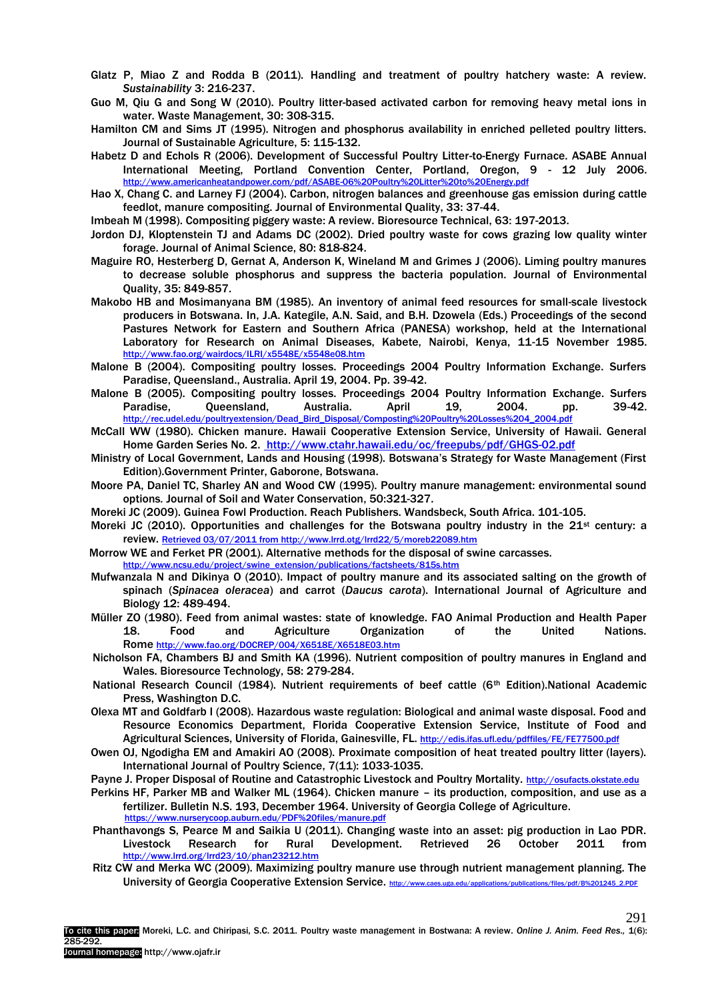- Glatz P, Miao Z and Rodda B (2011). Handling and treatment of poultry hatchery waste: A review. *Sustainability* 3: 216-237.
- [Guo M,](http://www.ncbi.nlm.nih.gov/pubmed?term=%22Guo%20M%22%5BAuthor%5D) [Qiu G](http://www.ncbi.nlm.nih.gov/pubmed?term=%22Qiu%20G%22%5BAuthor%5D) and [Song W](http://www.ncbi.nlm.nih.gov/pubmed?term=%22Song%20W%22%5BAuthor%5D) (2010). Poultry litter-based activated carbon for removing heavy metal ions in water[. Waste Management,](http://www.ncbi.nlm.nih.gov/pubmed/19783133?dopt=Abstract) 30: 308-315.
- Hamilton CM and Sims JT (1995). Nitrogen and phosphorus availability in enriched pelleted poultry litters. Journal of Sustainable Agriculture, 5: 115-132.
- Habetz D and Echols R (2006). Development of Successful Poultry Litter-to-Energy Furnace. ASABE Annual International Meeting, Portland Convention Center, Portland, Oregon, 9 - 12 July 2006. <http://www.americanheatandpower.com/pdf/ASABE-06%20Poultry%20Litter%20to%20Energy.pdf>
- Hao X, Chang C. and Larney FJ (2004). Carbon, nitrogen balances and greenhouse gas emission during cattle feedlot, manure compositing. Journal of Environmental Quality, 33: 37-44.

Imbeah M (1998). Compositing piggery waste: A review. Bioresource Technical, 63: 197-2013.

- Jordon DJ, Kloptenstein TJ and Adams DC (2002). Dried poultry waste for cows grazing low quality winter forage. Journal of Animal Science, 80: 818-824.
- Maguire RO, Hesterberg D, Gernat A, Anderson K, Wineland M and Grimes J (2006). Liming poultry manures to decrease soluble phosphorus and suppress the bacteria population. Journal of Environmental Quality, 35: 849-857.
- Makobo HB and Mosimanyana BM (1985). An inventory of animal feed resources for small-scale livestock producers in Botswana. In, J.A. Kategile, A.N. Said, and B.H. Dzowela (Eds.) Proceedings of the second Pastures Network for Eastern and Southern Africa (PANESA) workshop, held at the International Laboratory for Research on Animal Diseases, Kabete, Nairobi, Kenya, 11-15 November 1985. <http://www.fao.org/wairdocs/ILRI/x5548E/x5548e08.htm>
- Malone B (2004). Compositing poultry losses. Proceedings 2004 Poultry Information Exchange. Surfers Paradise, Queensland., Australia. April 19, 2004. Pp. 39-42.
- Malone B (2005). Compositing poultry losses. Proceedings 2004 Poultry Information Exchange. Surfers Paradise, Queensland, Australia. April 19, 2004. pp. 39-42. [http://rec.udel.edu/poultryextension/Dead\\_Bird\\_Disposal/Composting%20Poultry%20Losses%204\\_2004.pdf](http://rec.udel.edu/poultryextension/Dead_Bird_Disposal/Composting%20Poultry%20Losses%204_2004.pdf)
- McCall WW (1980). Chicken manure. Hawaii Cooperative Extension Service, University of Hawaii. General Home Garden Series No. 2. <http://www.ctahr.hawaii.edu/oc/freepubs/pdf/GHGS-02.pdf>
- Ministry of Local Government, Lands and Housing (1998). Botswana's Strategy for Waste Management (First Edition).Government Printer, Gaborone, Botswana.
- Moore PA, Daniel TC, Sharley AN and Wood CW (1995). Poultry manure management: environmental sound options*.* Journal of Soil and Water Conservation, 50:321-327.
- Moreki JC (2009). Guinea Fowl Production. Reach Publishers. Wandsbeck, South Africa. 101-105.
- Moreki JC (2010). Opportunities and challenges for the Botswana poultry industry in the  $21^{st}$  century: a review. [Retrieved 03/07/2011 from http://www.lrrd.otg/lrrd22/5/moreb22089.htm](file:///G:/Retrieved%2003/07/2011%20from%20http:/www.lrrd.otg/lrrd22/5/moreb22089.htm)
- Morrow WE and Ferket PR (2001). Alternative methods for the disposal of swine carcasses. [http://www.ncsu.edu/project/swine\\_extension/publications/factsheets/815s.htm](http://www.ncsu.edu/project/swine_extension/publications/factsheets/815s.htm)
- Mufwanzala N and Dikinya O (2010). Impact of poultry manure and its associated salting on the growth of spinach (*Spinacea oleracea*) and carrot (*Daucus carota*). International Journal of Agriculture and Biology 12: 489-494.
- Müller ZO (1980). Feed from animal wastes: state of knowledge. FAO Animal Production and Health Paper 18. Food and Agriculture Organization of the United Nations. Rome <http://www.fao.org/DOCREP/004/X6518E/X6518E03.htm>
- Nicholson FA, Chambers BJ and Smith KA (1996). Nutrient composition of poultry manures in England and Wales. Bioresource Technology, 58: 279-284.
- National Research Council (1984). Nutrient requirements of beef cattle (6<sup>th</sup> Edition).National Academic Press, Washington D.C.
- Olexa MT and Goldfarb I (2008). Hazardous waste regulation: Biological and animal waste disposal. Food and Resource Economics Department, Florida Cooperative Extension Service, Institute of Food and Agricultural Sciences, University of Florida, Gainesville, FL. <http://edis.ifas.ufl.edu/pdffiles/FE/FE77500.pdf>
- Owen OJ, Ngodigha EM and Amakiri AO (2008). Proximate composition of heat treated poultry litter (layers). International Journal of Poultry Science, 7(11): 1033-1035.
- Payne J. Proper Disposal of Routine and Catastrophic Livestock and Poultry Mortality. [http://osufacts.okstate.edu](http://osufacts.okstate.edu/)
- Perkins HF, Parker MB and Walker ML (1964). Chicken manure its production, composition, and use as a fertilizer. Bulletin N.S. 193, December 1964. University of Georgia College of Agriculture. <https://www.nurserycoop.auburn.edu/PDF%20files/manure.pdf>
- Phanthavongs S, Pearce M and Saikia U (2011). Changing waste into an asset: pig production in Lao PDR. Livestock Research for Rural Development. Retrieved 26 October 2011 from <http://www.lrrd.org/lrrd23/10/phan23212.htm>
- Ritz CW and Merka WC (2009). Maximizing poultry manure use through nutrient management planning. The University of Georgia Cooperative Extension Service. [http://www.caes.uga.edu/applications/publications/files/pdf/B%201245\\_2.PDF](http://www.caes.uga.edu/applications/publications/files/pdf/B%201245_2.PDF)

291